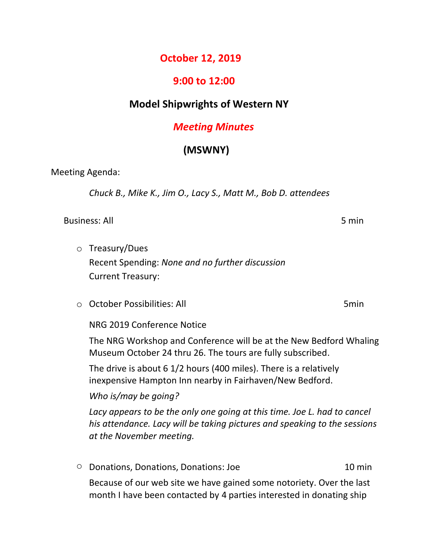### **October 12, 2019**

#### **9:00 to 12:00**

### **Model Shipwrights of Western NY**

## *Meeting Minutes*

# **(MSWNY)**

Meeting Agenda:

*Chuck B., Mike K., Jim O., Lacy S., Matt M., Bob D. attendees*

Business: All 5 min

o Treasury/Dues

Recent Spending: *None and no further discussion* Current Treasury:

o October Possibilities: All 5min

NRG 2019 Conference Notice

The NRG Workshop and Conference will be at the New Bedford Whaling Museum October 24 thru 26. The tours are fully subscribed.

The drive is about 6 1/2 hours (400 miles). There is a relatively inexpensive Hampton Inn nearby in Fairhaven/New Bedford.

*Who is/may be going?*

*Lacy appears to be the only one going at this time. Joe L. had to cancel his attendance. Lacy will be taking pictures and speaking to the sessions at the November meeting.*

o Donations, Donations, Donations: Joe 10 min Because of our web site we have gained some notoriety. Over the last

month I have been contacted by 4 parties interested in donating ship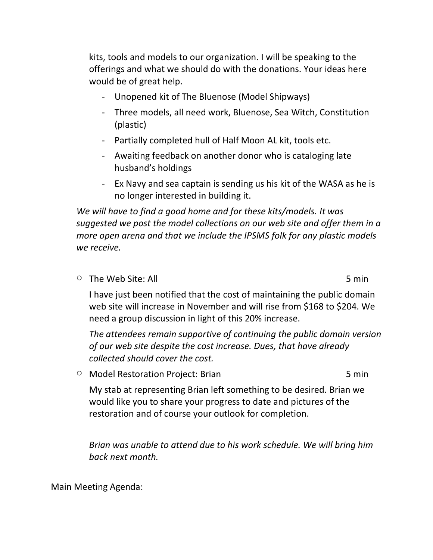kits, tools and models to our organization. I will be speaking to the offerings and what we should do with the donations. Your ideas here would be of great help.

- Unopened kit of The Bluenose (Model Shipways)
- Three models, all need work, Bluenose, Sea Witch, Constitution (plastic)
- Partially completed hull of Half Moon AL kit, tools etc.
- Awaiting feedback on another donor who is cataloging late husband's holdings
- Ex Navy and sea captain is sending us his kit of the WASA as he is no longer interested in building it.

*We will have to find a good home and for these kits/models. It was suggested we post the model collections on our web site and offer them in a more open arena and that we include the IPSMS folk for any plastic models we receive.*

 $\circ$  The Web Site: All  $\circ$  5 min

I have just been notified that the cost of maintaining the public domain web site will increase in November and will rise from \$168 to \$204. We need a group discussion in light of this 20% increase.

*The attendees remain supportive of continuing the public domain version of our web site despite the cost increase. Dues, that have already collected should cover the cost.*

O Model Restoration Project: Brian 5 min

My stab at representing Brian left something to be desired. Brian we would like you to share your progress to date and pictures of the restoration and of course your outlook for completion.

*Brian was unable to attend due to his work schedule. We will bring him back next month.*

Main Meeting Agenda: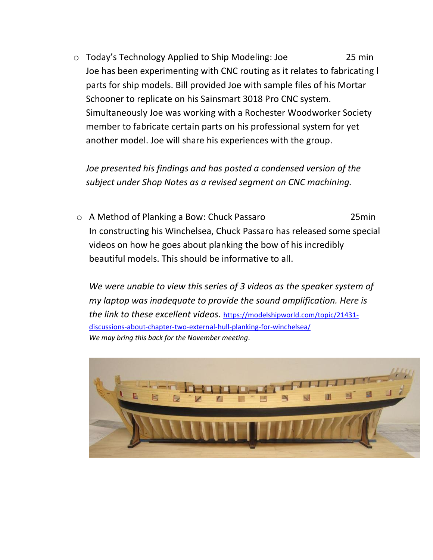o Today's Technology Applied to Ship Modeling: Joe 25 min Joe has been experimenting with CNC routing as it relates to fabricating l parts for ship models. Bill provided Joe with sample files of his Mortar Schooner to replicate on his Sainsmart 3018 Pro CNC system. Simultaneously Joe was working with a Rochester Woodworker Society member to fabricate certain parts on his professional system for yet another model. Joe will share his experiences with the group.

*Joe presented his findings and has posted a condensed version of the subject under Shop Notes as a revised segment on CNC machining.*

o A Method of Planking a Bow: Chuck Passaro 25min In constructing his Winchelsea, Chuck Passaro has released some special videos on how he goes about planking the bow of his incredibly beautiful models. This should be informative to all.

*We were unable to view this series of 3 videos as the speaker system of my laptop was inadequate to provide the sound amplification. Here is the link to these excellent videos.* [https://modelshipworld.com/topic/21431](https://modelshipworld.com/topic/21431-discussions-about-chapter-two-external-hull-planking-for-winchelsea/) [discussions-about-chapter-two-external-hull-planking-for-winchelsea/](https://modelshipworld.com/topic/21431-discussions-about-chapter-two-external-hull-planking-for-winchelsea/) *We may bring this back for the November meeting*.